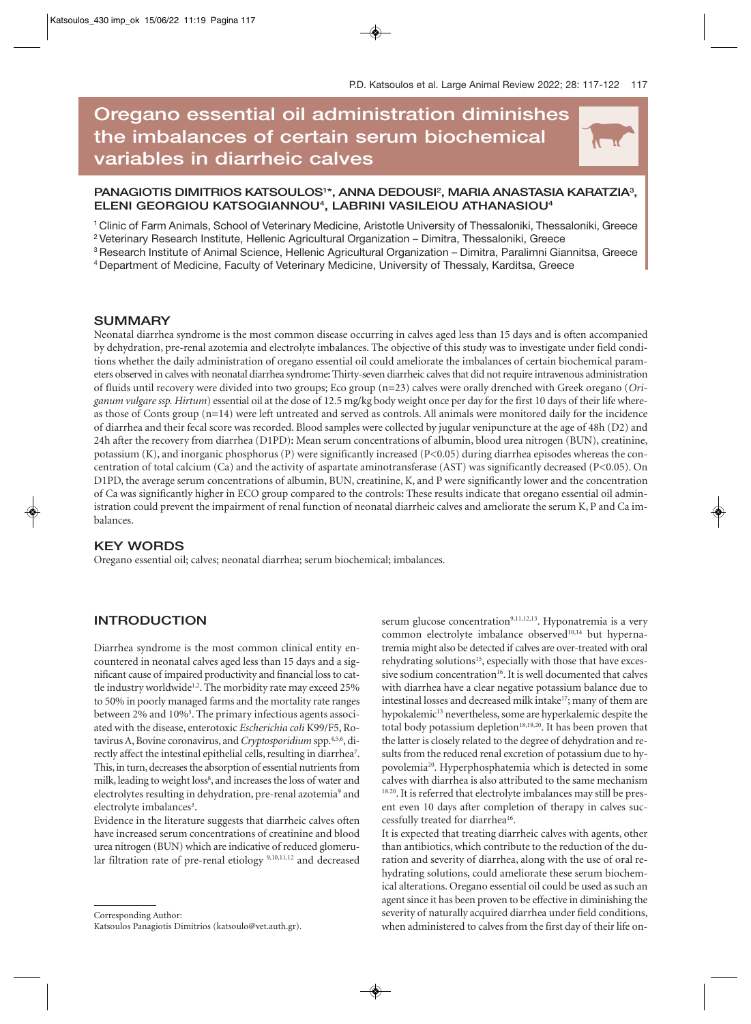N

# **Oregano essential oil administration diminishes the imbalances of certain serum biochemical variables in diarrheic calves**

# PANAGIOTIS DIMITRIOS KATSOULOS<sup>1\*</sup>, ANNA DEDOUSI<sup>2</sup>, MARIA ANASTASIA KARATZIA<sup>3</sup>, **ELENI GEORGIOU KATSOGIANNOU4 , LABRINI VASILEIOU ATHANASIOU4**

1 Clinic of Farm Animals, School of Veterinary Medicine, Aristotle University of Thessaloniki, Thessaloniki, Greece 2 Veterinary Research Institute, Hellenic Agricultural Organization – Dimitra, Thessaloniki, Greece

3 Research Institute of Animal Science, Hellenic Agricultural Organization – Dimitra, Paralimni Giannitsa, Greece

4 Department of Medicine, Faculty of Veterinary Medicine, University of Thessaly, Karditsa, Greece

## **SUMMARY**

Neonatal diarrhea syndrome is the most common disease occurring in calves aged less than 15 days and is often accompanied by dehydration, pre-renal azotemia and electrolyte imbalances. The objective of this study was to investigate under field conditions whether the daily administration of oregano essential oil could ameliorate the imbalances of certain biochemical parameters observed in calves with neonatal diarrhea syndrome**:** Thirty-seven diarrheic calves that did not require intravenous administration of fluids until recovery were divided into two groups; Eco group (n=23) calves were orally drenched with Greek oregano (*Origanum vulgare ssp. Hirtum*) essential oil at the dose of 12.5 mg/kg body weight once per day for the first 10 days of their life whereas those of Conts group (n=14) were left untreated and served as controls. All animals were monitored daily for the incidence of diarrhea and their fecal score was recorded. Blood samples were collected by jugular venipuncture at the age of 48h (D2) and 24h after the recovery from diarrhea (D1PD)**:** Mean serum concentrations of albumin, blood urea nitrogen (BUN), creatinine, potassium (K), and inorganic phosphorus (P) were significantly increased (P<0.05) during diarrhea episodes whereas the concentration of total calcium (Ca) and the activity of aspartate aminotransferase (AST) was significantly decreased (P<0.05). On D1PD, the average serum concentrations of albumin, BUN, creatinine, K, and P were significantly lower and the concentration of Ca was significantly higher in ECO group compared to the controls**:** These results indicate that oregano essential oil administration could prevent the impairment of renal function of neonatal diarrheic calves and ameliorate the serum K, P and Ca imbalances.

## **KEY WORDS**

Oregano essential oil; calves; neonatal diarrhea; serum biochemical; imbalances.

# **INTRODUCTION**

Diarrhea syndrome is the most common clinical entity encountered in neonatal calves aged less than 15 days and a significant cause of impaired productivity and financial loss to cattle industry worldwide<sup>1,2</sup>. The morbidity rate may exceed 25% to 50% in poorly managed farms and the mortality rate ranges between 2% and 10%<sup>3</sup>. The primary infectious agents associated with the disease, enterotoxic *Escherichia coli* K99/F5, Rotavirus A, Bovine coronavirus, and *Cryptosporidium* spp.4,5,6, directly affect the intestinal epithelial cells, resulting in diarrhea<sup>7</sup>. This, in turn, decreases the absorption of essential nutrients from milk, leading to weight loss<sup>8</sup>, and increases the loss of water and electrolytes resulting in dehydration, pre-renal azotemia<sup>9</sup> and electrolyte imbalances<sup>3</sup>.

Evidence in the literature suggests that diarrheic calves often have increased serum concentrations of creatinine and blood urea nitrogen (BUN) which are indicative of reduced glomerular filtration rate of pre-renal etiology 9,10,11,12 and decreased

Corresponding Author:

serum glucose concentration<sup>9,11,12,13</sup>. Hyponatremia is a very common electrolyte imbalance observed<sup>10,14</sup> but hypernatremia might also be detected if calves are over-treated with oral rehydrating solutions<sup>15</sup>, especially with those that have excessive sodium concentration<sup>16</sup>. It is well documented that calves with diarrhea have a clear negative potassium balance due to intestinal losses and decreased milk intake<sup>17</sup>; many of them are hypokalemic<sup>13</sup> nevertheless, some are hyperkalemic despite the total body potassium depletion<sup>18,19,20</sup>. It has been proven that the latter is closely related to the degree of dehydration and results from the reduced renal excretion of potassium due to hypovolemia20. Hyperphosphatemia which is detected in some calves with diarrhea is also attributed to the same mechanism <sup>18.20</sup>. It is referred that electrolyte imbalances may still be present even 10 days after completion of therapy in calves successfully treated for diarrhea<sup>16</sup>.

It is expected that treating diarrheic calves with agents, other than antibiotics, which contribute to the reduction of the duration and severity of diarrhea, along with the use of oral rehydrating solutions, could ameliorate these serum biochemical alterations. Oregano essential oil could be used as such an agent since it has been proven to be effective in diminishing the severity of naturally acquired diarrhea under field conditions, when administered to calves from the first day of their life on-

Katsoulos Panagiotis Dimitrios (katsoulo@vet.auth.gr).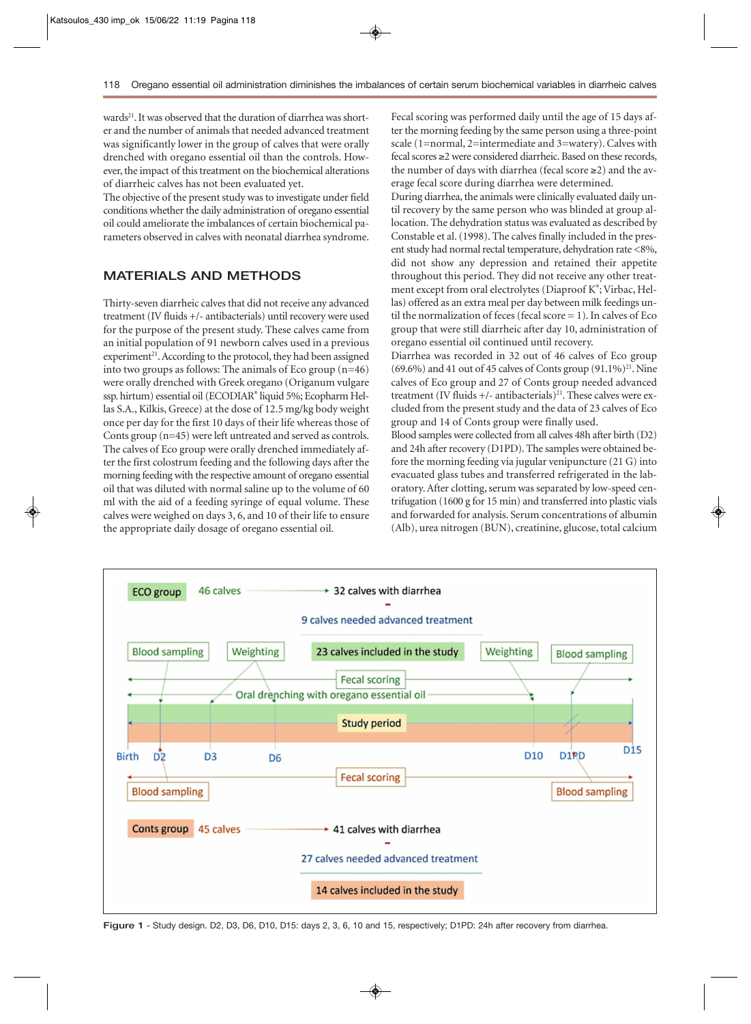wards<sup>21</sup>. It was observed that the duration of diarrhea was shorter and the number of animals that needed advanced treatment was significantly lower in the group of calves that were orally drenched with oregano essential oil than the controls. However, the impact of this treatment on the biochemical alterations of diarrheic calves has not been evaluated yet.

The objective of the present study was to investigate under field conditions whether the daily administration of oregano essential oil could ameliorate the imbalances of certain biochemical parameters observed in calves with neonatal diarrhea syndrome.

# **MATERIALS AND METHODS**

Thirty-seven diarrheic calves that did not receive any advanced treatment (IV fluids +/- antibacterials) until recovery were used for the purpose of the present study. These calves came from an initial population of 91 newborn calves used in a previous  $experiment<sup>21</sup>$ . According to the protocol, they had been assigned into two groups as follows: The animals of Eco group (n=46) were orally drenched with Greek oregano (Origanum vulgare ssp. hirtum) essential oil (ECODIAR® liquid 5%; Ecopharm Hellas S.A., Kilkis, Greece) at the dose of 12.5 mg/kg body weight once per day for the first 10 days of their life whereas those of Conts group (n=45) were left untreated and served as controls. The calves of Eco group were orally drenched immediately after the first colostrum feeding and the following days after the morning feeding with the respective amount of oregano essential oil that was diluted with normal saline up to the volume of 60 ml with the aid of a feeding syringe of equal volume. These calves were weighed on days 3, 6, and 10 of their life to ensure the appropriate daily dosage of oregano essential oil.

Fecal scoring was performed daily until the age of 15 days after the morning feeding by the same person using a three-point scale (1=normal, 2=intermediate and 3=watery). Calves with fecal scores ≥2 were considered diarrheic. Based on these records, the number of days with diarrhea (fecal score  $\geq$ 2) and the average fecal score during diarrhea were determined.

During diarrhea, the animals were clinically evaluated daily until recovery by the same person who was blinded at group allocation. The dehydration status was evaluated as described by Constable et al. (1998). The calves finally included in the present study had normal rectal temperature, dehydration rate <8%, did not show any depression and retained their appetite throughout this period. They did not receive any other treatment except from oral electrolytes (Diaproof K®; Virbac, Hellas) offered as an extra meal per day between milk feedings until the normalization of feces (fecal score  $= 1$ ). In calves of Eco group that were still diarrheic after day 10, administration of oregano essential oil continued until recovery.

Diarrhea was recorded in 32 out of 46 calves of Eco group  $(69.6\%)$  and 41 out of 45 calves of Conts group  $(91.1\%)$ <sup>21</sup>. Nine calves of Eco group and 27 of Conts group needed advanced treatment (IV fluids  $+/-$  antibacterials)<sup>21</sup>. These calves were excluded from the present study and the data of 23 calves of Eco group and 14 of Conts group were finally used.

Blood samples were collected from all calves 48h after birth (D2) and 24h after recovery (D1PD). The samples were obtained before the morning feeding via jugular venipuncture (21 G) into evacuated glass tubes and transferred refrigerated in the laboratory. After clotting, serum was separated by low-speed centrifugation (1600 g for 15 min) and transferred into plastic vials and forwarded for analysis. Serum concentrations of albumin (Alb), urea nitrogen (BUN), creatinine, glucose, total calcium



**Figure 1** - Study design. D2, D3, D6, D10, D15: days 2, 3, 6, 10 and 15, respectively; D1PD: 24h after recovery from diarrhea.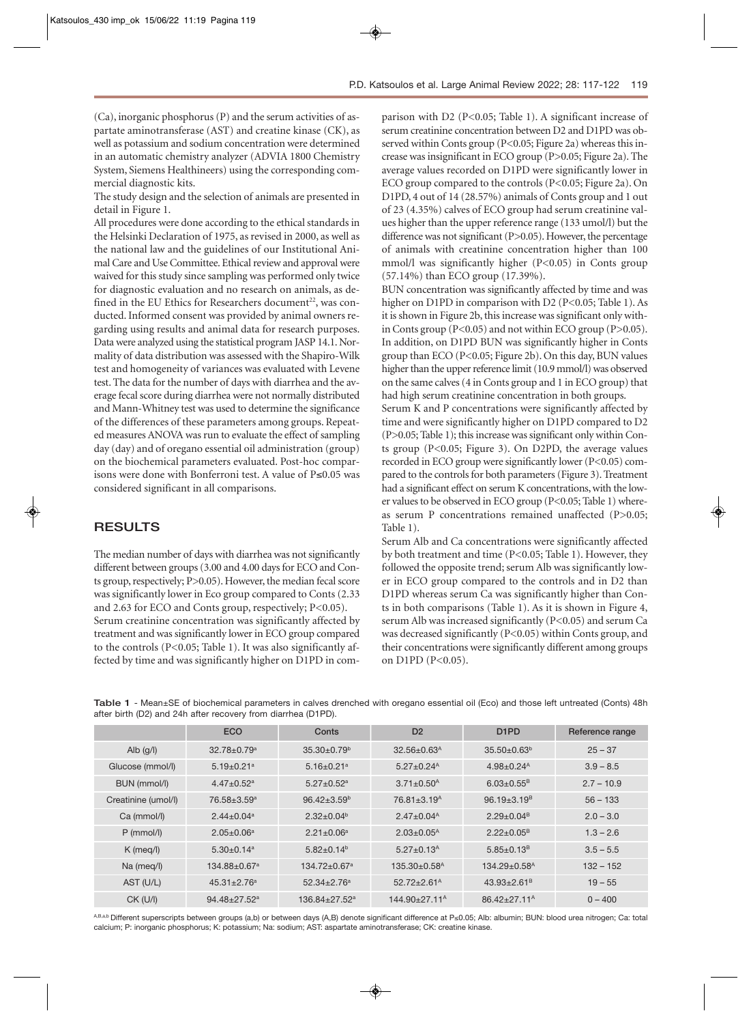(Ca), inorganic phosphorus (P) and the serum activities of aspartate aminotransferase (AST) and creatine kinase (CK), as well as potassium and sodium concentration were determined in an automatic chemistry analyzer (ADVIA 1800 Chemistry System, Siemens Healthineers) using the corresponding commercial diagnostic kits.

The study design and the selection of animals are presented in detail in Figure 1.

All procedures were done according to the ethical standards in the Helsinki Declaration of 1975, as revised in 2000, as well as the national law and the guidelines of our Institutional Animal Care and Use Committee. Ethical review and approval were waived for this study since sampling was performed only twice for diagnostic evaluation and no research on animals, as defined in the EU Ethics for Researchers document<sup>22</sup>, was conducted. Informed consent was provided by animal owners regarding using results and animal data for research purposes. Data were analyzed using the statistical program JASP 14.1. Normality of data distribution was assessed with the Shapiro-Wilk test and homogeneity of variances was evaluated with Levene test. The data for the number of days with diarrhea and the average fecal score during diarrhea were not normally distributed and Mann-Whitney test was used to determine the significance of the differences of these parameters among groups. Repeated measures ANOVA was run to evaluate the effect of sampling day (day) and of oregano essential oil administration (group) on the biochemical parameters evaluated. Post-hoc comparisons were done with Bonferroni test. A value of P≤0.05 was considered significant in all comparisons.

## **RESULTS**

The median number of days with diarrhea was not significantly different between groups (3.00 and 4.00 days for ECO and Conts group, respectively; P>0.05). However, the median fecal score was significantly lower in Eco group compared to Conts (2.33 and 2.63 for ECO and Conts group, respectively; P<0.05). Serum creatinine concentration was significantly affected by treatment and was significantly lower in ECO group compared to the controls (P<0.05; Table 1). It was also significantly affected by time and was significantly higher on D1PD in com-

parison with D2 (P<0.05; Table 1). A significant increase of serum creatinine concentration between D2 and D1PD was observed within Conts group (P<0.05; Figure 2a) whereas this increase was insignificant in ECO group (P>0.05; Figure 2a). The average values recorded on D1PD were significantly lower in ECO group compared to the controls (P<0.05; Figure 2a). On D1PD, 4 out of 14 (28.57%) animals of Conts group and 1 out of 23 (4.35%) calves of ECO group had serum creatinine values higher than the upper reference range (133 umol/l) but the difference was not significant (P>0.05). However, the percentage of animals with creatinine concentration higher than 100 mmol/l was significantly higher (P<0.05) in Conts group (57.14%) than ECO group (17.39%).

BUN concentration was significantly affected by time and was higher on D1PD in comparison with D2 (P<0.05; Table 1). As it is shown in Figure 2b, this increase was significant only within Conts group (P<0.05) and not within ECO group (P>0.05). In addition, on D1PD BUN was significantly higher in Conts group than ECO (P<0.05; Figure 2b). On this day, BUN values higher than the upper reference limit (10.9 mmol/l) was observed on the same calves (4 in Conts group and 1 in ECO group) that had high serum creatinine concentration in both groups.

Serum K and P concentrations were significantly affected by time and were significantly higher on D1PD compared to D2 (P>0.05; Table 1); this increase was significant only within Conts group (P<0.05; Figure 3). On D2PD, the average values recorded in ECO group were significantly lower (P<0.05) compared to the controls for both parameters (Figure 3). Treatment had a significant effect on serum K concentrations, with the lower values to be observed in ECO group (P<0.05; Table 1) whereas serum P concentrations remained unaffected (P>0.05; Table 1).

Serum Alb and Ca concentrations were significantly affected by both treatment and time (P<0.05; Table 1). However, they followed the opposite trend; serum Alb was significantly lower in ECO group compared to the controls and in D2 than D1PD whereas serum Ca was significantly higher than Conts in both comparisons (Table 1). As it is shown in Figure 4, serum Alb was increased significantly (P<0.05) and serum Ca was decreased significantly (P<0.05) within Conts group, and their concentrations were significantly different among groups on D1PD (P<0.05).

|                     | <b>ECO</b>                    | Conts                        | D <sub>2</sub>                 | D <sub>1</sub> P <sub>D</sub>  | Reference range |
|---------------------|-------------------------------|------------------------------|--------------------------------|--------------------------------|-----------------|
| Alb $(g/l)$         | $32.78 \pm 0.79$ <sup>a</sup> | $35.30 \pm 0.79^{\circ}$     | $32.56 \pm 0.63$ <sup>A</sup>  | $35.50 \pm 0.63^b$             | $25 - 37$       |
| Glucose (mmol/l)    | $5.19 \pm 0.21$ <sup>a</sup>  | $5.16 \pm 0.21$ <sup>a</sup> | $5.27 \pm 0.24$ <sup>A</sup>   | $4.98 \pm 0.24$ <sup>A</sup>   | $3.9 - 8.5$     |
| BUN (mmol/l)        | $4.47 \pm 0.52$ <sup>a</sup>  | $5.27 \pm 0.52$ <sup>a</sup> | $3.71 \pm 0.50$ <sup>A</sup>   | $6.03 \pm 0.55$ <sup>B</sup>   | $2.7 - 10.9$    |
| Creatinine (umol/l) | 76.58±3.59 <sup>a</sup>       | $96.42 \pm 3.59^{\circ}$     | $76.81 \pm 3.19$ <sup>A</sup>  | $96.19 \pm 3.19$ <sup>B</sup>  | $56 - 133$      |
| Ca (mmol/l)         | $2.44 \pm 0.04$ <sup>a</sup>  | $2.32 \pm 0.04^b$            | $2.47 \pm 0.04^{\text{A}}$     | $2.29 \pm 0.04$ <sup>B</sup>   | $2.0 - 3.0$     |
| $P$ (mmol/l)        | $2.05 \pm 0.06^a$             | $2.21 \pm 0.06^a$            | $2.03 \pm 0.05^{\text{A}}$     | $2.22 \pm 0.05^B$              | $1.3 - 2.6$     |
| $K$ (meg/l)         | $5.30 \pm 0.14$ <sup>a</sup>  | $5.82 \pm 0.14^b$            | $5.27 \pm 0.13$ <sup>A</sup>   | $5.85 \pm 0.13$ <sup>B</sup>   | $3.5 - 5.5$     |
| Na (meg/l)          | 134.88±0.67 <sup>a</sup>      | 134.72±0.67 <sup>a</sup>     | $135.30 \pm 0.58$ <sup>A</sup> | $134.29 \pm 0.58$ <sup>A</sup> | $132 - 152$     |
| AST (U/L)           | $45.31 \pm 2.76$ <sup>a</sup> | $52.34 \pm 2.76^a$           | $52.72 \pm 2.61$ <sup>A</sup>  | $43.93 \pm 2.61$ <sup>B</sup>  | $19 - 55$       |
| $CK$ (U/I)          | 94.48±27.52 <sup>a</sup>      | 136.84±27.52 <sup>a</sup>    | 144.90±27.11 <sup>A</sup>      | $86.42 \pm 27.11^{\circ}$      | $0 - 400$       |

**Table 1** - Mean±SE of biochemical parameters in calves drenched with oregano essential oil (Eco) and those left untreated (Conts) 48h after birth (D2) and 24h after recovery from diarrhea (D1PD).

A,B,a,b Different superscripts between groups (a,b) or between days (A,B) denote significant difference at P≤0.05; Alb: albumin; BUN: blood urea nitrogen; Ca: total calcium; P: inorganic phosphorus; K: potassium; Na: sodium; AST: aspartate aminotransferase; CK: creatine kinase.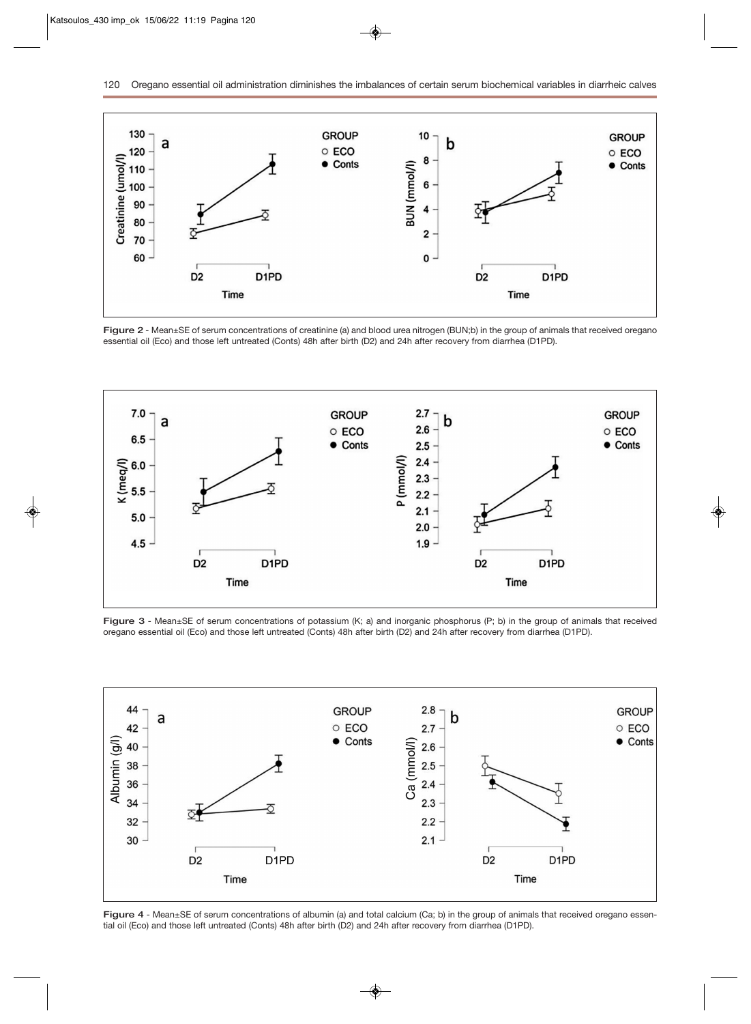

**Figure 2** - Mean±SE of serum concentrations of creatinine (a) and blood urea nitrogen (BUN;b) in the group of animals that received oregano essential oil (Eco) and those left untreated (Conts) 48h after birth (D2) and 24h after recovery from diarrhea (D1PD).



**Figure 3** - Mean±SE of serum concentrations of potassium (K; a) and inorganic phosphorus (P; b) in the group of animals that received oregano essential oil (Eco) and those left untreated (Conts) 48h after birth (D2) and 24h after recovery from diarrhea (D1PD).



**Figure 4** - Mean±SE of serum concentrations of albumin (a) and total calcium (Ca; b) in the group of animals that received oregano essential oil (Eco) and those left untreated (Conts) 48h after birth (D2) and 24h after recovery from diarrhea (D1PD).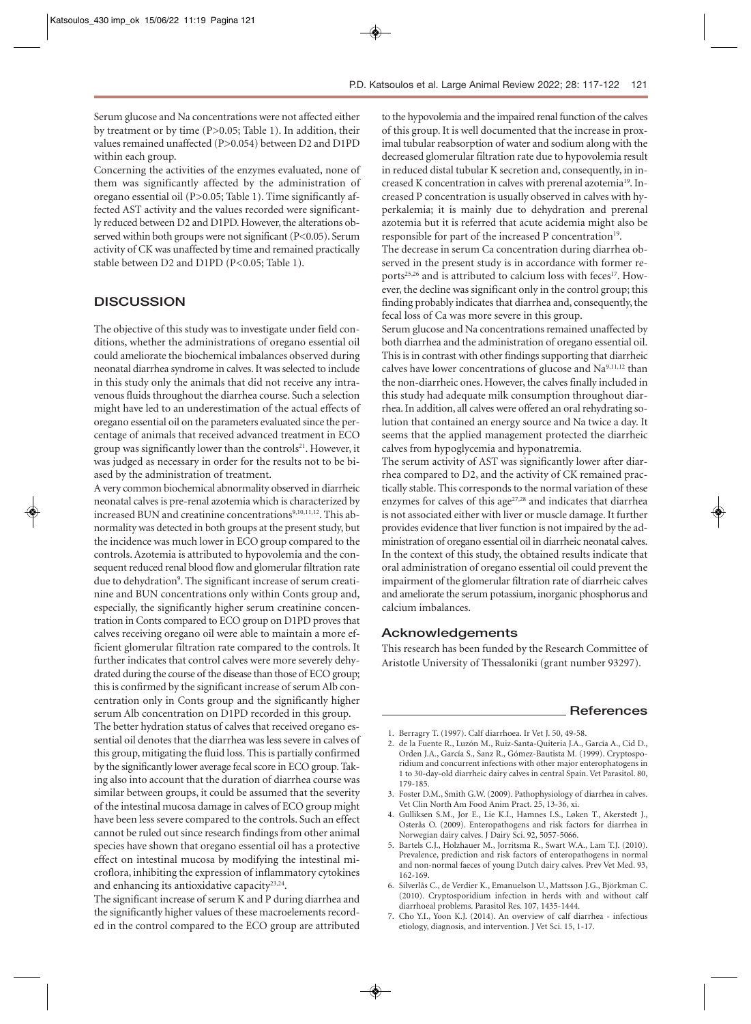Serum glucose and Na concentrations were not affected either by treatment or by time (P>0.05; Table 1). In addition, their values remained unaffected (P>0.054) between D2 and D1PD within each group.

Concerning the activities of the enzymes evaluated, none of them was significantly affected by the administration of oregano essential oil (P>0.05; Table 1). Time significantly affected AST activity and the values recorded were significantly reduced between D2 and D1PD. However, the alterations observed within both groups were not significant (P<0.05). Serum activity of CK was unaffected by time and remained practically stable between D2 and D1PD (P<0.05; Table 1).

#### **DISCUSSION**

The objective of this study was to investigate under field conditions, whether the administrations of oregano essential oil could ameliorate the biochemical imbalances observed during neonatal diarrhea syndrome in calves. It was selected to include in this study only the animals that did not receive any intravenous fluids throughout the diarrhea course. Such a selection might have led to an underestimation of the actual effects of oregano essential oil on the parameters evaluated since the percentage of animals that received advanced treatment in ECO group was significantly lower than the controls<sup>21</sup>. However, it was judged as necessary in order for the results not to be biased by the administration of treatment.

A very common biochemical abnormality observed in diarrheic neonatal calves is pre-renal azotemia which is characterized by increased BUN and creatinine concentrations<sup>9,10,11,12</sup>. This abnormality was detected in both groups at the present study, but the incidence was much lower in ECO group compared to the controls. Azotemia is attributed to hypovolemia and the consequent reduced renal blood flow and glomerular filtration rate due to dehydration<sup>9</sup>. The significant increase of serum creatinine and BUN concentrations only within Conts group and, especially, the significantly higher serum creatinine concentration in Conts compared to ECO group on D1PD proves that calves receiving oregano oil were able to maintain a more efficient glomerular filtration rate compared to the controls. It further indicates that control calves were more severely dehydrated during the course of the disease than those of ECO group; this is confirmed by the significant increase of serum Alb concentration only in Conts group and the significantly higher serum Alb concentration on D1PD recorded in this group. The better hydration status of calves that received oregano essential oil denotes that the diarrhea was less severe in calves of this group, mitigating the fluid loss. This is partially confirmed

by the significantly lower average fecal score in ECO group. Taking also into account that the duration of diarrhea course was similar between groups, it could be assumed that the severity of the intestinal mucosa damage in calves of ECO group might have been less severe compared to the controls. Such an effect cannot be ruled out since research findings from other animal species have shown that oregano essential oil has a protective effect on intestinal mucosa by modifying the intestinal microflora, inhibiting the expression of inflammatory cytokines and enhancing its antioxidative capacity<sup>23,24</sup>.

The significant increase of serum K and P during diarrhea and the significantly higher values of these macroelements recorded in the control compared to the ECO group are attributed

to the hypovolemia and the impaired renal function of the calves of this group. It is well documented that the increase in proximal tubular reabsorption of water and sodium along with the decreased glomerular filtration rate due to hypovolemia result in reduced distal tubular K secretion and, consequently, in increased K concentration in calves with prerenal azotemia<sup>19</sup>. Increased P concentration is usually observed in calves with hyperkalemia; it is mainly due to dehydration and prerenal azotemia but it is referred that acute acidemia might also be responsible for part of the increased P concentration<sup>19</sup>.

The decrease in serum Ca concentration during diarrhea observed in the present study is in accordance with former reports<sup>25,26</sup> and is attributed to calcium loss with feces<sup>17</sup>. However, the decline was significant only in the control group; this finding probably indicates that diarrhea and, consequently, the fecal loss of Ca was more severe in this group.

Serum glucose and Na concentrations remained unaffected by both diarrhea and the administration of oregano essential oil. This is in contrast with other findings supporting that diarrheic calves have lower concentrations of glucose and Na<sup>9,11,12</sup> than the non-diarrheic ones. However, the calves finally included in this study had adequate milk consumption throughout diarrhea. In addition, all calves were offered an oral rehydrating solution that contained an energy source and Na twice a day. It seems that the applied management protected the diarrheic calves from hypoglycemia and hyponatremia.

The serum activity of AST was significantly lower after diarrhea compared to D2, and the activity of CK remained practically stable. This corresponds to the normal variation of these enzymes for calves of this age<sup>27,28</sup> and indicates that diarrhea is not associated either with liver or muscle damage. It further provides evidence that liver function is not impaired by the administration of oregano essential oil in diarrheic neonatal calves. In the context of this study, the obtained results indicate that oral administration of oregano essential oil could prevent the impairment of the glomerular filtration rate of diarrheic calves and ameliorate the serum potassium, inorganic phosphorus and calcium imbalances.

#### **Acknowledgements**

This research has been funded by the Research Committee of Aristotle University of Thessaloniki (grant number 93297).

#### **References**

- 1. Berragry T. (1997). Calf diarrhoea. Ir Vet J. 50, 49-58.
- 2. de la Fuente R., Luzón M., Ruiz-Santa-Quiteria J.A., García A., Cid D., Orden J.A., García S., Sanz R., Gómez-Bautista M. (1999). Cryptosporidium and concurrent infections with other major enterophatogens in 1 to 30-day-old diarrheic dairy calves in central Spain. Vet Parasitol. 80, 179-185.
- 3. Foster D.M., Smith G.W. (2009). Pathophysiology of diarrhea in calves. Vet Clin North Am Food Anim Pract. 25, 13-36, xi.
- 4. Gulliksen S.M., Jor E., Lie K.I., Hamnes I.S., Løken T., Akerstedt J., Osterås O. (2009). Enteropathogens and risk factors for diarrhea in Norwegian dairy calves. J Dairy Sci. 92, 5057-5066.
- 5. Bartels C.J., Holzhauer M., Jorritsma R., Swart W.A., Lam T.J. (2010). Prevalence, prediction and risk factors of enteropathogens in normal and non-normal faeces of young Dutch dairy calves. Prev Vet Med. 93, 162-169.
- 6. Silverlås C., de Verdier K., Emanuelson U., Mattsson J.G., Björkman C. (2010). Cryptosporidium infection in herds with and without calf diarrhoeal problems. Parasitol Res. 107, 1435-1444.
- 7. Cho Y.I., Yoon K.J. (2014). An overview of calf diarrhea infectious etiology, diagnosis, and intervention. J Vet Sci. 15, 1-17.